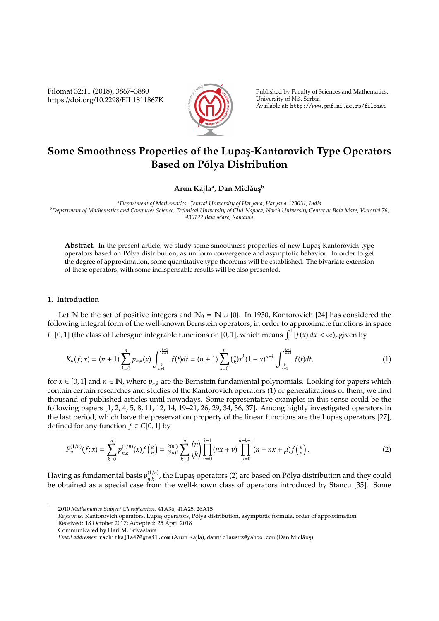Filomat 32:11 (2018), 3867–3880 https://doi.org/10.2298/FIL1811867K



Published by Faculty of Sciences and Mathematics, University of Niš, Serbia Available at: http://www.pmf.ni.ac.rs/filomat

# **Some Smoothness Properties of the Lupas¸-Kantorovich Type Operators Based on Pólya Distribution**

## $\mathbf{A}$ run Kajlaª, Dan Miclăuş<sup>b</sup>

*<sup>a</sup>Department of Mathematics, Central University of Haryana, Haryana-123031, India <sup>b</sup>Department of Mathematics and Computer Science, Technical University of Cluj-Napoca, North University Center at Baia Mare, Victoriei 76, 430122 Baia Mare, Romania*

Abstract. In the present article, we study some smoothness properties of new Lupas-Kantorovich type operators based on Polya distribution, as uniform convergence and asymptotic behavior. In order to get ´ the degree of approximation, some quantitative type theorems will be established. The bivariate extension of these operators, with some indispensable results will be also presented.

### **1. Introduction**

Let N be the set of positive integers and  $\mathbb{N}_0 = \mathbb{N} \cup \{0\}$ . In 1930, Kantorovich [24] has considered the following integral form of the well-known Bernstein operators, in order to approximate functions in space *L*<sub>1</sub>[0, 1] (the class of Lebesgue integrable functions on [0, 1], which means  $\int_0^1 |f(x)| dx < \infty$ ), given by

$$
K_n(f;x) = (n+1)\sum_{k=0}^n p_{n,k}(x) \int_{\frac{k}{n+1}}^{\frac{k+1}{n+1}} f(t)dt = (n+1)\sum_{k=0}^n {n \choose k} x^k (1-x)^{n-k} \int_{\frac{k}{n+1}}^{\frac{k+1}{n+1}} f(t)dt,
$$
\n(1)

for *x* ∈ [0, 1] and *n* ∈ **N**, where  $p_{n,k}$  are the Bernstein fundamental polynomials. Looking for papers which contain certain researches and studies of the Kantorovich operators (1) or generalizations of them, we find thousand of published articles until nowadays. Some representative examples in this sense could be the following papers [1, 2, 4, 5, 8, 11, 12, 14, 19–21, 26, 29, 34, 36, 37]. Among highly investigated operators in the last period, which have the preservation property of the linear functions are the Lupas operators [27], defined for any function  $f \in C[0, 1]$  by

$$
P_n^{(1/n)}(f;x) = \sum_{k=0}^n p_{n,k}^{(1/n)}(x) f\left(\frac{k}{n}\right) = \frac{2(n!)}{(2n)!} \sum_{k=0}^n \binom{n}{k} \prod_{\nu=0}^{k-1} (nx+\nu) \prod_{\mu=0}^{n-k-1} (n-nx+\mu) f\left(\frac{k}{n}\right).
$$
 (2)

Having as fundamental basis  $p_{n,k}^{(1/n)}$ <sup>(1/11</sup>), the Lupaş operators (2) are based on Pólya distribution and they could be obtained as a special case from the well-known class of operators introduced by Stancu [35]. Some

<sup>2010</sup> *Mathematics Subject Classification*. 41A36, 41A25, 26A15

Keywords. Kantorovich operators, Lupas operators, Pólya distribution, asymptotic formula, order of approximation. Received: 18 October 2017; Accepted: 25 April 2018

Communicated by Hari M. Srivastava

*Email addresses:* rachitkajla47@gmail.com (Arun Kajla), danmiclausrz@yahoo.com (Dan Miclaus¸) ˇ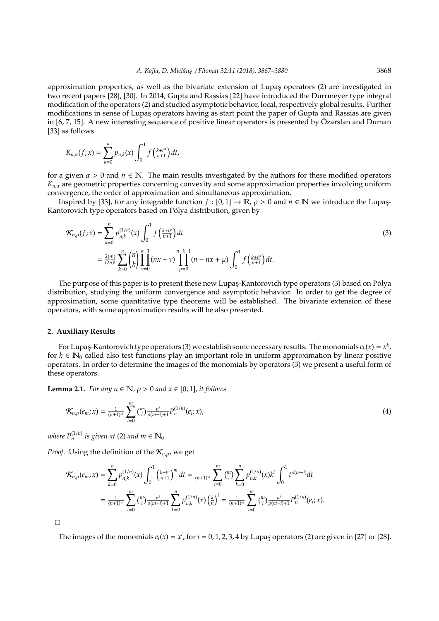approximation properties, as well as the bivariate extension of Lupas¸ operators (2) are investigated in two recent papers [28], [30]. In 2014, Gupta and Rassias [22] have introduced the Durrmeyer type integral modification of the operators (2) and studied asymptotic behavior, local, respectively global results. Further modifications in sense of Lupas operators having as start point the paper of Gupta and Rassias are given in  $[6, 7, 15]$ . A new interesting sequence of positive linear operators is presented by Özarslan and Duman [33] as follows

$$
K_{n,\alpha}(f;x)=\sum_{k=0}^n p_{n,k}(x)\int_0^1 f\left(\frac{k+t^\alpha}{n+1}\right)dt,
$$

for a given  $\alpha > 0$  and  $n \in \mathbb{N}$ . The main results investigated by the authors for these modified operators  $K_{n,\alpha}$  are geometric properties concerning convexity and some approximation properties involving uniform convergence, the order of approximation and simultaneous approximation.

Inspired by [33], for any integrable function  $f : [0,1] \to \mathbb{R}$ ,  $\rho > 0$  and  $n \in \mathbb{N}$  we introduce the Lupas-Kantorovich type operators based on Polya distribution, given by ´

$$
\mathcal{K}_{n,\rho}(f;x) = \sum_{k=0}^{n} p_{n,k}^{(1/n)}(x) \int_0^1 f\left(\frac{k+t^{\rho}}{n+1}\right) dt
$$
  
=  $\frac{2(n!)}{(2n)!} \sum_{k=0}^{n} {n \choose k} \prod_{\nu=0}^{k-1} (nx+\nu) \prod_{\mu=0}^{n-k-1} (n-nx+\mu) \int_0^1 f\left(\frac{k+t^{\rho}}{n+1}\right) dt.$  (3)

The purpose of this paper is to present these new Lupaş-Kantorovich type operators (3) based on Pólya distribution, studying the uniform convergence and asymptotic behavior. In order to get the degree of approximation, some quantitative type theorems will be established. The bivariate extension of these operators, with some approximation results will be also presented.

#### **2. Auxiliary Results**

For Lupaş-Kantorovich type operators (3) we establish some necessary results. The monomials  $e_k(x) = x^k$  , for  $k \in \mathbb{N}_0$  called also test functions play an important role in uniform approximation by linear positive operators. In order to determine the images of the monomials by operators (3) we present a useful form of these operators.

**Lemma 2.1.** *For any n*  $\in \mathbb{N}$ *,*  $\rho > 0$  *and x*  $\in [0, 1]$ *, it follows* 

$$
\mathcal{K}_{n,\rho}(e_m; x) = \frac{1}{(n+1)^m} \sum_{i=0}^m \binom{m}{i} \frac{n^i}{\rho(m-i)+1} P_n^{(1/n)}(e_i; x), \tag{4}
$$

*where*  $P_n^{(1/n)}$  *is given at* (2) *and*  $m \in \mathbb{N}_0$ *.* 

*Proof.* Using the definition of the  $\mathcal{K}_{n,\rho}$ , we get

$$
\mathcal{K}_{n,\rho}(e_m; x) = \sum_{k=0}^n p_{n,k}^{(1/n)}(x) \int_0^1 \left(\frac{k+t^\rho}{n+1}\right)^m dt = \frac{1}{(n+1)^m} \sum_{i=0}^m {m \choose i} \sum_{k=0}^n p_{n,k}^{(1/n)}(x) k^i \int_0^1 t^{\rho(m-i)} dt
$$
  
= 
$$
\frac{1}{(n+1)^m} \sum_{i=0}^m {m \choose i} \frac{n^i}{\rho(m-i)+1} \sum_{k=0}^n p_{n,k}^{(1/n)}(x) \left(\frac{k}{n}\right)^i = \frac{1}{(n+1)^m} \sum_{i=0}^m {m \choose i} \frac{n^i}{\rho(m-i)+1} p_n^{(1/n)}(e_i; x).
$$

 $\Box$ 

The images of the monomials  $e_i(x) = x^i$ , for  $i = 0, 1, 2, 3, 4$  by Lupaş operators (2) are given in [27] or [28].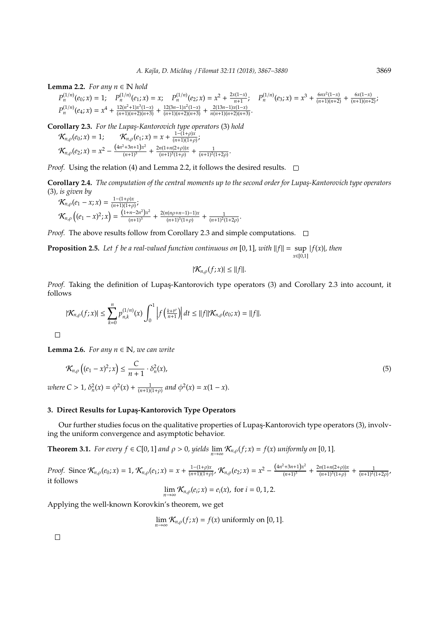**Lemma 2.2.** *For any*  $n \in \mathbb{N}$  *hold* 

 $P_n^{(1/n)}(e_0; x) = 1; \quad P_n^{(1/n)}(e_1; x) = x; \quad P_n^{(1/n)}(e_2; x) = x^2 + \frac{2x(1-x)}{n+1}$  $P_n^{(1/n)}(e_3; x) = x^3 + \frac{6nx^2(1-x)}{(n+1)(n+2)} + \frac{6x(1-x)}{(n+1)(n+2)};$  $P_n^{(1/n)}(e_4; x) = x^4 + \frac{12(n^2+1)x^3(1-x)}{(n+1)(n+2)(n+3)} + \frac{12(3n-1)x^2(1-x)}{(n+1)(n+2)(n+3)} + \frac{2(13n-1)x(1-x)}{n(n+1)(n+2)(n+3)}$ 

**Corollary 2.3.** *For the Lupas¸-Kantorovich type operators* (3) *hold*

 $\mathcal{K}_{n,\rho}(e_0; x) = 1;$   $\mathcal{K}_{n,\rho}(e_1; x) = x + \frac{1-(1+\rho)x}{(n+1)(1+\rho)x}$  $\frac{1+(1+p)x}{(n+1)(1+p)}$  $\mathcal{K}_{n,\rho}(e_2; x) = x^2 - \frac{(4n^2+3n+1)x^2}{(n+1)^3} + \frac{2n(1+n(2+\rho))x}{(n+1)^3(1+\rho)}$  $\frac{n(1+n(2+\rho))x}{(n+1)^3(1+\rho)} + \frac{1}{(n+1)^2(1+2\rho)}$ .

*Proof.* Using the relation (4) and Lemma 2.2, it follows the desired results. □

**Corollary 2.4.** *The computation of the central moments up to the second order for Lupas¸-Kantorovich type operators* (3)*, is given by*

$$
\mathcal{K}_{n,\rho}(e_1 - x; x) = \frac{1 - (1 + \rho)x}{(n + 1)(1 + \rho)};
$$
\n
$$
\mathcal{K}_{n,\rho}\left((e_1 - x)^2; x\right) = \frac{\left(1 + n - 2n^2\right)x^2}{(n + 1)^3} + \frac{2(n(n\rho + n - 1) - 1)x}{(n + 1)^3(1 + \rho)} + \frac{1}{(n + 1)^2(1 + 2\rho)}.
$$

*Proof.* The above results follow from Corollary 2.3 and simple computations.  $\Box$ 

**Proposition 2.5.** Let f be a real-valued function continuous on [0, 1], with  $||f|| = \sup |f(x)|$ , then *x*∈[0,1]

$$
|\mathcal{K}_{n,\rho}(f;x)| \leq ||f||.
$$

*Proof.* Taking the definition of Lupaş-Kantorovich type operators (3) and Corollary 2.3 into account, it follows

$$
|\mathcal{K}_{n,\rho}(f;x)| \leq \sum_{k=0}^n p_{n,k}^{(1/n)}(x) \int_0^1 \left| f\left(\frac{k+t^{\rho}}{n+1}\right) \right| dt \leq ||f|| \mathcal{K}_{n,\rho}(e_0;x) = ||f||.
$$

 $\Box$ 

**Lemma 2.6.** *For any n*  $\in \mathbb{N}$ *, we can write* 

$$
\mathcal{K}_{n,\rho}\left((e_1-x)^2;x\right) \leq \frac{C}{n+1} \cdot \delta_n^2(x),\tag{5}
$$

*where*  $C > 1$ ,  $\delta_n^2(x) = \phi^2(x) + \frac{1}{(n+1)(1+\rho)}$  and  $\phi^2(x) = x(1-x)$ .

## **3. Direct Results for Lupas¸-Kantorovich Type Operators**

Our further studies focus on the qualitative properties of Lupas-Kantorovich type operators (3), involving the uniform convergence and asymptotic behavior.

**Theorem 3.1.** *For every*  $f \in C[0,1]$  *and*  $\rho > 0$ , yields  $\lim_{n\to\infty} \mathcal{K}_{n,\rho}(f; x) = f(x)$  *uniformly on* [0, 1]*.* 

*Proof.* Since  $\mathcal{K}_{n,\rho}(e_0; x) = 1$ ,  $\mathcal{K}_{n,\rho}(e_1; x) = x + \frac{1-(1+\rho)x}{(n+1)(1+\rho)x}$  $\frac{1-(1+\rho)x}{(n+1)(1+\rho)}, \mathcal{K}_{n,\rho}(e_2; x) = x^2 - \frac{(4n^2+3n+1)x^2}{(n+1)^3} + \frac{2n(1+n(2+\rho))x}{(n+1)^3(1+\rho)}$  $\frac{n(1+n(2+\rho))x}{(n+1)^3(1+\rho)} + \frac{1}{(n+1)^2(1+2\rho)}$ it follows

$$
\lim_{n\to\infty} \mathcal{K}_{n,\rho}(e_i;x) = e_i(x), \text{ for } i=0,1,2.
$$

Applying the well-known Korovkin's theorem, we get

$$
\lim_{n\to\infty} \mathcal{K}_{n,\rho}(f;x) = f(x) \text{ uniformly on } [0,1].
$$

 $\Box$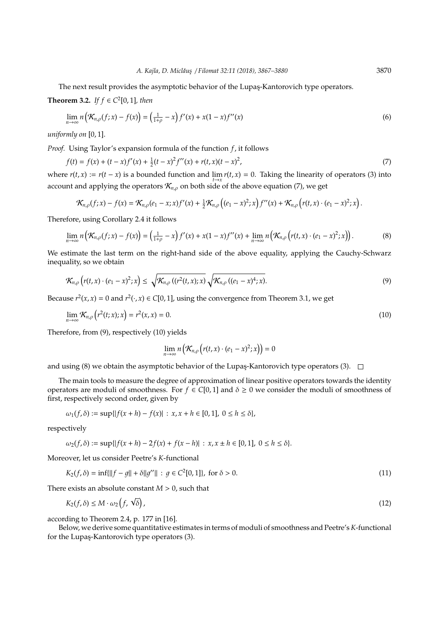The next result provides the asymptotic behavior of the Lupas-Kantorovich type operators.

**Theorem 3.2.** *If f* ∈  $C^2[0, 1]$ *, then* 

$$
\lim_{n \to \infty} n\left(\mathcal{K}_{n,\rho}(f;x) - f(x)\right) = \left(\frac{1}{1+\rho} - x\right) f'(x) + x(1-x) f''(x) \tag{6}
$$

*uniformly on* [0, 1].

*Proof.* Using Taylor's expansion formula of the function *f*, it follows

$$
f(t) = f(x) + (t - x)f'(x) + \frac{1}{2}(t - x)^2 f''(x) + r(t, x)(t - x)^2,
$$
\n(7)

where  $r(t, x) := r(t - x)$  is a bounded function and  $\lim_{t \to x} r(t, x) = 0$ . Taking the linearity of operators (3) into account and applying the operators  $\mathcal{K}_{n,\rho}$  on both side of the above equation (7), we get

$$
\mathcal{K}_{n,\rho}(f;x) - f(x) = \mathcal{K}_{n,\rho}(e_1 - x; x) f'(x) + \frac{1}{2} \mathcal{K}_{n,\rho}\left((e_1 - x)^2; x\right) f''(x) + \mathcal{K}_{n,\rho}\left(r(t,x) \cdot (e_1 - x)^2; x\right).
$$

Therefore, using Corollary 2.4 it follows

$$
\lim_{n\to\infty} n\left(\mathcal{K}_{n,\rho}(f;x)-f(x)\right)=\left(\frac{1}{1+\rho}-x\right)f'(x)+x(1-x)f''(x)+\lim_{n\to\infty} n\left(\mathcal{K}_{n,\rho}\left(r(t,x)\cdot(e_1-x)^2;x\right)\right).
$$
\n(8)

We estimate the last term on the right-hand side of the above equality, applying the Cauchy-Schwarz inequality, so we obtain

$$
\mathcal{K}_{n,\rho}\left(r(t,x)\cdot (e_1-x)^2;x\right)\leq \sqrt{\mathcal{K}_{n,\rho}\left((r^2(t,x);x)\right)}\sqrt{\mathcal{K}_{n,\rho}\left((e_1-x)^4;x\right)}.\tag{9}
$$

Because  $r^2(x, x) = 0$  and  $r^2(\cdot, x) \in C[0, 1]$ , using the convergence from Theorem 3.1, we get

$$
\lim_{n\to\infty} \mathcal{K}_{n,\rho}\left(r^2(t;x);x\right) = r^2(x,x) = 0. \tag{10}
$$

Therefore, from (9), respectively (10) yields

$$
\lim_{n\to\infty} n\left(\mathcal{K}_{n,\rho}\left(r(t,x)\cdot (e_1-x)^2;x\right)\right)=0
$$

and using (8) we obtain the asymptotic behavior of the Lupaş-Kantorovich type operators (3).  $\Box$ 

The main tools to measure the degree of approximation of linear positive operators towards the identity operators are moduli of smoothness. For  $f \in C[0, 1]$  and  $\delta \ge 0$  we consider the moduli of smoothness of first, respectively second order, given by

$$
\omega_1(f,\delta) := \sup\{|f(x+h) - f(x)| : x, x+h \in [0,1], 0 \le h \le \delta\},\
$$

respectively

$$
\omega_2(f,\delta) := \sup\{|f(x+h) - 2f(x) + f(x-h)| : x, x \pm h \in [0,1], 0 \le h \le \delta\}.
$$

Moreover, let us consider Peetre's *K*-functional

$$
K_2(f, \delta) = \inf \{ ||f - g|| + \delta ||g''|| : g \in C^2[0, 1] \}, \text{ for } \delta > 0.
$$
 (11)

There exists an absolute constant  $M > 0$ , such that

$$
K_2(f,\delta) \le M \cdot \omega_2\left(f,\sqrt{\delta}\right),\tag{12}
$$

according to Theorem 2.4, p. 177 in [16].

Below, we derive some quantitative estimates in terms of moduli of smoothness and Peetre's*K*-functional for the Lupas-Kantorovich type operators (3).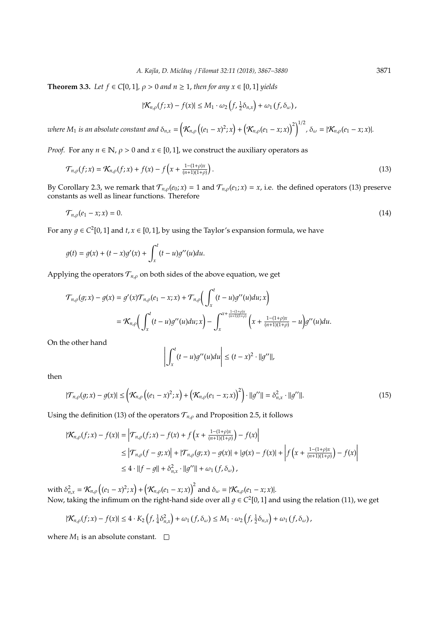**Theorem 3.3.** *Let*  $f \in C[0,1]$ *,*  $\rho > 0$  *and*  $n \ge 1$ *, then for any*  $x \in [0,1]$  *yields* 

$$
|\mathcal{K}_{n,\rho}(f;x)-f(x)|\leq M_1\cdot \omega_2\left(f,\tfrac{1}{2}\delta_{n,x}\right)+\omega_1\left(f,\delta_{\omega}\right),
$$

where  $M_1$  is an absolute constant and  $\delta_{n,x} = \left(\mathcal{K}_{n,\rho}\left((e_1-x)^2;x\right)+\left(\mathcal{K}_{n,\rho}(e_1-x;x)\right)^2\right)^{1/2}$ ,  $\delta_{\omega} = |\mathcal{K}_{n,\rho}(e_1-x;x)|$ .

*Proof.* For any  $n \in \mathbb{N}$ ,  $\rho > 0$  and  $x \in [0, 1]$ , we construct the auxiliary operators as

$$
\mathcal{T}_{n,\rho}(f;x) = \mathcal{K}_{n,\rho}(f;x) + f(x) - f\left(x + \frac{1 - (1+\rho)x}{(n+1)(1+\rho)}\right).
$$
\n(13)

By Corollary 2.3, we remark that  $T_{n,\rho}(e_0; x) = 1$  and  $T_{n,\rho}(e_1; x) = x$ , i.e. the defined operators (13) preserve constants as well as linear functions. Therefore

$$
\mathcal{T}_{n,\rho}(e_1 - x; x) = 0. \tag{14}
$$

For any  $g \in C^2[0, 1]$  and  $t, x \in [0, 1]$ , by using the Taylor's expansion formula, we have

$$
g(t) = g(x) + (t - x)g'(x) + \int_x^t (t - u)g''(u)du.
$$

Applying the operators  $T_{n,\rho}$  on both sides of the above equation, we get

$$
\mathcal{T}_{n,\rho}(g;x) - g(x) = g'(x)\mathcal{T}_{n,\rho}(e_1 - x; x) + \mathcal{T}_{n,\rho}\left(\int_x^t (t - u)g''(u)du; x\right)
$$
  
=  $\mathcal{K}_{n,\rho}\left(\int_x^t (t - u)g''(u)du; x\right) - \int_x^{x + \frac{1 - (1 + \rho)x}{(n+1)(1+\rho)}} \left(x + \frac{1 - (1 + \rho)x}{(n+1)(1+\rho)} - u\right)g''(u)du.$ 

On the other hand

$$
\left| \int_x^t (t-u)g''(u)du \right| \le (t-x)^2 \cdot ||g''||,
$$

then

$$
|\mathcal{T}_{n,\rho}(g;x) - g(x)| \leq \left( \mathcal{K}_{n,\rho} \left( (e_1 - x)^2; x \right) + \left( \mathcal{K}_{n,\rho}(e_1 - x; x) \right)^2 \right) \cdot ||g''|| = \delta_{n,x}^2 \cdot ||g''||. \tag{15}
$$

Using the definition (13) of the operators  $T_{n,\rho}$  and Proposition 2.5, it follows

$$
\begin{aligned} |\mathcal{K}_{n,\rho}(f;x) - f(x)| &= \left| \mathcal{T}_{n,\rho}(f;x) - f(x) + f\left(x + \frac{1 - (1 + \rho)x}{(n+1)(1+\rho)}\right) - f(x) \right| \\ &\le \left| \mathcal{T}_{n,\rho}(f - g;x) \right| + |\mathcal{T}_{n,\rho}(g;x) - g(x)| + |g(x) - f(x)| + \left| f\left(x + \frac{1 - (1 + \rho)x}{(n+1)(1+\rho)}\right) - f(x) \right| \\ &\le 4 \cdot ||f - g|| + \delta_{n,x}^2 \cdot ||g''|| + \omega_1 \left(f, \delta_{\omega}\right), \end{aligned}
$$

with  $\delta_{n,x}^2 = \mathcal{K}_{n,\rho} \left( (e_1 - x)^2; x \right) + \left( \mathcal{K}_{n,\rho}(e_1 - x; x) \right)^2$  and  $\delta_{\omega} = |\mathcal{K}_{n,\rho}(e_1 - x; x)|$ . Now, taking the infimum on the right-hand side over all  $g \in C^2[0,1]$  and using the relation (11), we get

$$
|\mathcal{K}_{n,\rho}(f;x)-f(x)| \leq 4 \cdot K_2\left(f, \tfrac{1}{4}\delta_{n,x}^2\right)+\omega_1\left(f, \delta_\omega\right) \leq M_1 \cdot \omega_2\left(f, \tfrac{1}{2}\delta_{n,x}\right)+\omega_1\left(f, \delta_\omega\right),
$$

where  $M_1$  is an absolute constant.  $\square$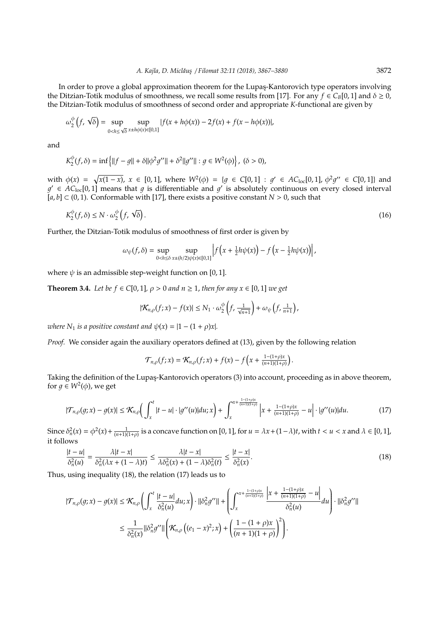In order to prove a global approximation theorem for the Lupas-Kantorovich type operators involving the Ditzian-Totik modulus of smoothness, we recall some results from [17]. For any  $f \in C_B[0, 1]$  and  $\delta \ge 0$ , the Ditzian-Totik modulus of smoothness of second order and appropriate *K*-functional are given by

$$
\omega_2^{\phi}\left(f,\sqrt{\delta}\right) = \sup_{0 < h \le \sqrt{\delta}} \sup_{x \pm h\phi(x) \in [0,1]} |f(x+h\phi(x)) - 2f(x) + f(x-h\phi(x))|,
$$

and

$$
K_2^{\phi}(f,\delta) = \inf \left\{ ||f - g|| + \delta ||\phi^2 g''|| + \delta^2 ||g''|| : g \in W^2(\phi) \right\}, \; (\delta > 0),
$$

with  $\phi(x) = \sqrt{x(1-x)}$ ,  $x \in [0,1]$ , where  $W^2(\phi) = \{g \in C[0,1] : g' \in AC_{loc}[0,1], \phi^2 g'' \in C[0,1]\}$  and  $g' \in AC_{loc}[0,1]$  means that g is differentiable and g' is absolutely continuous on every closed interval  $[a, b] \subset (0, 1)$ . Conformable with [17], there exists a positive constant *N* > 0, such that

$$
K_2^{\phi}(f,\delta) \le N \cdot \omega_2^{\phi}\left(f,\sqrt{\delta}\right). \tag{16}
$$

Further, the Ditzian-Totik modulus of smoothness of first order is given by

$$
\omega_{\psi}(f,\delta) = \sup_{0
$$

where  $\psi$  is an admissible step-weight function on [0, 1].

**Theorem 3.4.** *Let be*  $f \in C[0, 1]$ *,*  $\rho > 0$  *and*  $n \ge 1$ *, then for any*  $x \in [0, 1]$  *we get* 

$$
|\mathcal{K}_{n,\rho}(f;x)-f(x)| \leq N_1 \cdot \omega_2^{\phi}\left(f,\frac{1}{\sqrt{n+1}}\right) + \omega_{\psi}\left(f,\frac{1}{n+1}\right),
$$

*where*  $N_1$  *is a positive constant and*  $\psi(x) = |1 - (1 + \rho)x|$ *.* 

*Proof.* We consider again the auxiliary operators defined at (13), given by the following relation

$$
\mathcal{T}_{n,\rho}(f;x) = \mathcal{K}_{n,\rho}(f;x) + f(x) - f\left(x + \frac{1 - (1+\rho)x}{(n+1)(1+\rho)}\right).
$$

Taking the definition of the Lupas-Kantorovich operators (3) into account, proceeding as in above theorem, for  $g \in W^2(\phi)$ , we get

$$
|\mathcal{T}_{n,\rho}(g;x) - g(x)| \leq \mathcal{K}_{n,\rho}\left(\int_x^t |t - u| \cdot |g''(u)| du; x\right) + \int_x^{x + \frac{1 - (1 + \rho)x}{(n+1)(1+\rho)}} \left| x + \frac{1 - (1 + \rho)x}{(n+1)(1+\rho)} - u \right| \cdot |g''(u)| du. \tag{17}
$$

Since  $\delta_n^2(x) = \phi^2(x) + \frac{1}{(n+1)(1+\rho)}$  is a concave function on [0, 1], for  $u = \lambda x + (1-\lambda)t$ , with  $t < u < x$  and  $\lambda \in [0,1]$ , it follows

$$
\frac{|t-u|}{\delta_n^2(u)} = \frac{\lambda |t-x|}{\delta_n^2(\lambda x + (1-\lambda)t)} \le \frac{\lambda |t-x|}{\lambda \delta_n^2(x) + (1-\lambda)\delta_n^2(t)} \le \frac{|t-x|}{\delta_n^2(x)}.
$$
\n(18)

Thus, using inequality (18), the relation (17) leads us to

$$
\begin{split} |\mathcal{T}_{n,\rho}(g;x)-g(x)| &\leq \mathcal{K}_{n,\rho}\left(\int_{x}^{t}\frac{|t-u|}{\delta_n^2(u)}du;x\right)\cdot||\delta_n^2g^{\prime\prime}||+\left(\int_{x}^{x+\frac{1-(1+\rho)x}{(n+1)(1+\rho)}}\frac{\left|x+\frac{1-(1+\rho)x}{(n+1)(1+\rho)}-u\right|}{\delta_n^2(u)}du\right)\cdot||\delta_n^2g^{\prime\prime}|| \\ &\leq \frac{1}{\delta_n^2(x)}||\delta_n^2g^{\prime\prime}||\left(\mathcal{K}_{n,\rho}\left((e_1-x)^2;x\right)+\left(\frac{1-(1+\rho)x}{(n+1)(1+\rho)}\right)^2\right). \end{split}
$$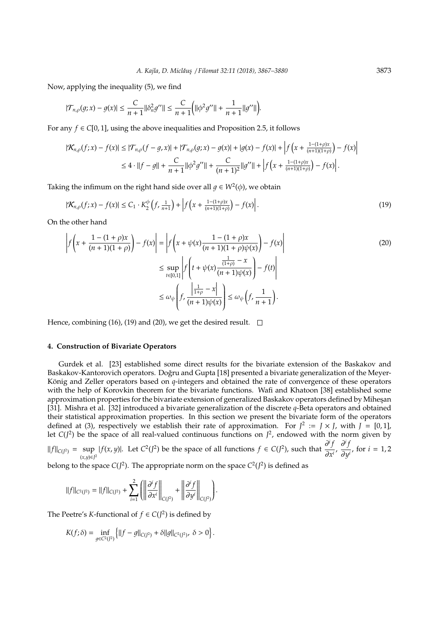Now, applying the inequality (5), we find

$$
|\mathcal{T}_{n,\rho}(g;x)-g(x)| \leq \frac{C}{n+1} ||\delta_n^2 g''|| \leq \frac{C}{n+1} \Big( ||\phi^2 g''|| + \frac{1}{n+1} ||g''|| \Big).
$$

For any  $f \in C[0, 1]$ , using the above inequalities and Proposition 2.5, it follows

$$
|\mathcal{K}_{n,\rho}(f;x) - f(x)| \le |\mathcal{T}_{n,\rho}(f - g, x)| + |\mathcal{T}_{n,\rho}(g;x) - g(x)| + |g(x) - f(x)| + \left|f\left(x + \frac{1 - (1 + \rho)x}{(n+1)(1+\rho)}\right) - f(x)\right|
$$
  

$$
\le 4 \cdot ||f - g|| + \frac{C}{n+1} ||\phi^2 g''|| + \frac{C}{(n+1)^2} ||g''|| + \left|f\left(x + \frac{1 - (1 + \rho)x}{(n+1)(1+\rho)}\right) - f(x)\right|.
$$

Taking the infimum on the right hand side over all  $g \in W^2(\phi)$ , we obtain

$$
|\mathcal{K}_{n,\rho}(f;x) - f(x)| \le C_1 \cdot K_2^{\phi}\left(f, \frac{1}{n+1}\right) + \left|f\left(x + \frac{1 - (1+\rho)x}{(n+1)(1+\rho)}\right) - f(x)\right|.
$$
\n(19)

On the other hand

$$
\left| f\left(x + \frac{1 - (1 + \rho)x}{(n + 1)(1 + \rho)}\right) - f(x) \right| = \left| f\left(x + \psi(x)\frac{1 - (1 + \rho)x}{(n + 1)(1 + \rho)\psi(x)}\right) - f(x) \right|
$$
\n
$$
\leq \sup_{t \in [0,1]} \left| f\left(t + \psi(x)\frac{\frac{1}{(1+\rho)} - x}{(n + 1)\psi(x)}\right) - f(t) \right|
$$
\n
$$
\leq \omega_{\psi} \left| f, \frac{\left|\frac{1}{1+\rho} - x\right|}{(n + 1)\psi(x)} \right| \leq \omega_{\psi} \left( f, \frac{1}{n + 1} \right).
$$
\n(20)

Hence, combining (16), (19) and (20), we get the desired result.  $\square$ 

#### **4. Construction of Bivariate Operators**

Gurdek et al. [23] established some direct results for the bivariate extension of the Baskakov and Baskakov-Kantorovich operators. Doğru and Gupta [18] presented a bivariate generalization of the Meyer-König and Zeller operators based on *q*-integers and obtained the rate of convergence of these operators with the help of Korovkin theorem for the bivariate functions. Wafi and Khatoon [38] established some approximation properties for the bivariate extension of generalized Baskakov operators defined by Mihesan [31]. Mishra et al. [32] introduced a bivariate generalization of the discrete *q*-Beta operators and obtained their statistical approximation properties. In this section we present the bivariate form of the operators defined at (3), respectively we establish their rate of approximation. For  $J^2 := J \times J$ , with  $J = [0, 1]$ , let  $C(J^2)$  be the space of all real-valued continuous functions on  $J^2$ , endowed with the norm given by

 $||f||_{C(J^2)} = \sup_{(x,y)\in J^2} |f(x,y)|$ . Let  $C^2(J^2)$  be the space of all functions  $f \in C(J^2)$ , such that  $\frac{\partial^i f}{\partial x^i}$  $\frac{\partial^i f}{\partial x^i}$ ,  $\frac{\partial^i f}{\partial y}$  $\frac{\partial}{\partial y^i}$ , for *i* = 1, 2

belong to the space  $C(J^2)$ . The appropriate norm on the space  $C^2(J^2)$  is defined as

$$
\|f\|_{C^2(J^2)} = \|f\|_{C(J^2)} + \sum_{i=1}^2 \left( \left\| \frac{\partial^i f}{\partial x^i} \right\|_{C(J^2)} + \left\| \frac{\partial^i f}{\partial y^i} \right\|_{C(J^2)} \right).
$$

The Peetre's *K*-functional of  $f \in C(J^2)$  is defined by

$$
K(f; \delta) = \inf_{g \in C^2(I^2)} \left\{ ||f - g||_{C(I^2)} + \delta ||g||_{C^2(I^2)}, \ \delta > 0 \right\}.
$$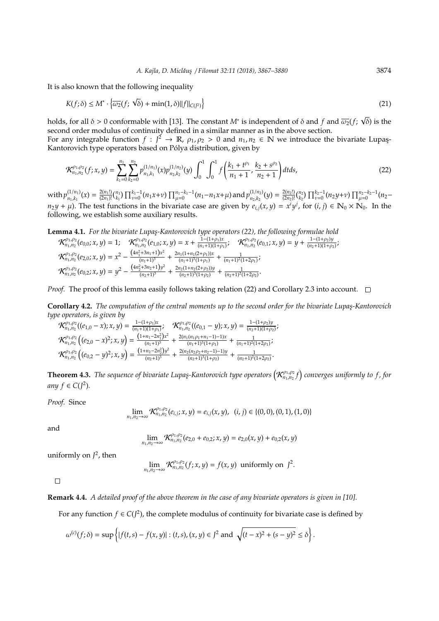It is also known that the following inequality

$$
K(f; \delta) \le M^* \cdot \left\{ \overline{\omega_2}(f; \sqrt{\delta}) + \min(1, \delta) ||f||_{C(f^2)} \right\} \tag{21}
$$

holds, for all  $\delta > 0$  conformable with [13]. The constant  $M^*$  is independent of  $\delta$  and  $f$  and  $\overline{\omega_2}(f; \sqrt{\delta})$  is the second order modulus of continuity defined in a similar manner as in the above section.

For any integrable function  $f: J^2 \to \mathbb{R}$ ,  $\rho_1, \rho_2 > 0$  and  $n_1, n_2 \in \mathbb{N}$  we introduce the bivariate Lupaş-Kantorovich type operators based on Pólya distribution, given by

$$
\mathcal{K}_{n_1,n_2}^{\rho_1,\rho_2}(f;x,y) = \sum_{k_1=0}^{n_1} \sum_{k_2=0}^{n_2} p_{n_1,k_1}^{(1/n_1)}(x) p_{n_2,k_2}^{(1/n_2)}(y) \int_0^1 \int_0^1 f\left(\frac{k_1+t^{\rho_1}}{n_1+1}, \frac{k_2+s^{\rho_2}}{n_2+1}\right) dt ds,
$$
\n(22)

with  $p_{n_1,k_1}^{(1/n_1)}$  $\frac{(1/n_1)}{n_1,k_1}(x) = \frac{2(n_1!)}{(2n_1)!}$  $\prod_{\mu=0}^{2(n_1)} \prod_{k_1}^{n_1-1} (n_1 x + \nu) \prod_{\mu=0}^{n_1-k_1-1} (n_1 - n_1 x + \mu)$  and  $p_{n_2,k_2}^{(1/n_2)}$  $\binom{(1/n_2)}{n_2,k_2}(y) = \frac{2(n_2!)}{(2n_2)!}$  $\frac{2(n_2!)}{(2n_2)!} \binom{n_2}{k_2} \prod_{\nu=0}^{k_2-1} (n_2 y + \nu) \prod_{\mu=0}^{n_2-k_2-1} (n_2$  $n_2 y + \mu$ ). The test functions in the bivariate case are given by  $e_{i,j}(x, y) = x^i y^j$ , for  $(i, j) \in \mathbb{N}_0 \times \mathbb{N}_0$ . In the following, we establish some auxiliary results.

**Lemma 4.1.** *For the bivariate Lupas¸-Kantorovich type operators (22), the following formulae hold*

$$
\mathcal{K}^{\rho_1,\rho_2}_{n_1,n_2}(e_{0,0};x,y) = 1; \quad \mathcal{K}^{\rho_1,\rho_2}_{n_1,n_2}(e_{1,0};x,y) = x + \frac{1 - (1 + \rho_1)x}{(n_1 + 1)(1 + \rho_1)}; \quad \mathcal{K}^{\rho_1,\rho_2}_{n_1,n_2}(e_{0,1};x,y) = y + \frac{1 - (1 + \rho_2)y}{(n_2 + 1)(1 + \rho_2)};
$$
  

$$
\mathcal{K}^{\rho_1,\rho_2}_{n_1,n_2}(e_{2,0};x,y) = x^2 - \frac{(4n_1^2 + 3n_1 + 1)x^2}{(n_1 + 1)^3} + \frac{2n_1(1 + n_1(2 + \rho_1))x}{(n_1 + 1)^3(1 + \rho_1)} + \frac{1}{(n_1 + 1)^2(1 + 2\rho_1)};
$$
  

$$
\mathcal{K}^{\rho_1,\rho_2}_{n_1,n_2}(e_{0,2};x,y) = y^2 - \frac{(4n_2^2 + 3n_2 + 1)y^2}{(n_2 + 1)^3} + \frac{2n_2(1 + n_2(2 + \rho_2))y}{(n_2 + 1)^3(1 + \rho_2)} + \frac{1}{(n_2 + 1)^2(1 + 2\rho_2)}.
$$

*Proof.* The proof of this lemma easily follows taking relation (22) and Corollary 2.3 into account.  $\square$ 

**Corollary 4.2.** *The computation of the central moments up to the second order for the bivariate Lupas¸-Kantorovich type operators, is given by*

$$
\mathcal{K}^{\rho_1,\rho_2}_{n_1,n_2}((e_{1,0}-x);x,y)=\frac{1-(1+\rho_1)x}{(n_1+1)(1+\rho_1)};\quad \mathcal{K}^{\rho_1,\rho_2}_{n_1,n_2}((e_{0,1}-y);x,y)=\frac{1-(1+\rho_2)y}{(n_2+1)(1+\rho_2)};\\ \mathcal{K}^{\rho_1,\rho_2}_{n_1,n_2}\left((e_{2,0}-x)^2;x,y\right)=\frac{\left(1+n_1-2n_1^2\right)x^2}{(n_1+1)^3}+\frac{2(n_1(n_1\rho_1+n_1-1)-1)x}{(n_1+1)^3(1+\rho_1)}+\frac{1}{(n_1+1)^2(1+2\rho_1)};\\ \mathcal{K}^{\rho_1,\rho_2}_{n_1,n_2}\left((e_{0,2}-y)^2;x,y\right)=\frac{\left(1+n_2-2n_2^2\right)y^2}{(n_2+1)^3}+\frac{2(n_2(n_2\rho_2+n_2-1)-1)y}{(n_2+1)^3(1+\rho_2)}+\frac{1}{(n_2+1)^2(1+2\rho_2)}.
$$

**Theorem 4.3.** The sequence of bivariate Lupaş-Kantorovich type operators  $\left(\mathcal{K}^{\rho_1,\rho_2}_{n_1,n_2}f\right)$  converges uniformly to f, for *any*  $f \in C(J^2)$ *.* 

*Proof.* Since

$$
\lim_{n_1,n_2\to\infty}\mathcal{K}^{\rho_1,\rho_2}_{n_1,n_2}(e_{i,j};x,y)=e_{i,j}(x,y),\;\;(i,j)\in\{(0,0),(0,1),(1,0)\}
$$

and

$$
\lim_{n_1,n_2\to\infty}\mathcal{K}_{n_1,n_2}^{p_1,p_2}(e_{2,0}+e_{0,2};x,y)=e_{2,0}(x,y)+e_{0,2}(x,y)
$$

uniformly on  $J^2$ , then

$$
\lim_{n_1,n_2\to\infty} \mathcal{K}_{n_1,n_2}^{p_1,p_2}(f;x,y)=f(x,y) \text{ uniformly on } J^2.
$$

 $\Box$ 

**Remark 4.4.** *A detailed proof of the above theorem in the case of any bivariate operators is given in [10].*

For any function  $f \in C(J^2)$ , the complete modulus of continuity for bivariate case is defined by

$$
\omega^{(c)}(f;\delta) = \sup \left\{ |f(t,s) - f(x,y)| : (t,s), (x,y) \in J^2 \text{ and } \sqrt{(t-x)^2 + (s-y)^2} \le \delta \right\}.
$$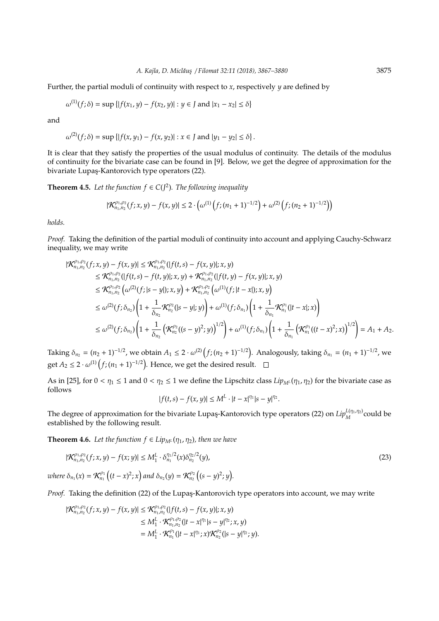Further, the partial moduli of continuity with respect to *x*, respectively *y* are defined by

$$
\omega^{(1)}(f; \delta) = \sup \{ |f(x_1, y) - f(x_2, y)| : y \in J \text{ and } |x_1 - x_2| \le \delta \}
$$

and

$$
\omega^{(2)}(f; \delta) = \sup \{ |f(x, y_1) - f(x, y_2)| : x \in J \text{ and } |y_1 - y_2| \le \delta \}.
$$

It is clear that they satisfy the properties of the usual modulus of continuity. The details of the modulus of continuity for the bivariate case can be found in [9]. Below, we get the degree of approximation for the bivariate Lupaş-Kantorovich type operators (22).

**Theorem 4.5.** Let the function  $f \in C(J^2)$ . The following inequality

$$
|\mathcal{K}_{n_1,n_2}^{\rho_1,\rho_2}(f;x,y)-f(x,y)| \leq 2 \cdot \left(\omega^{(1)}\left(f;(n_1+1)^{-1/2}\right)+\omega^{(2)}\left(f;(n_2+1)^{-1/2}\right)\right)
$$

*holds.*

*Proof.* Taking the definition of the partial moduli of continuity into account and applying Cauchy-Schwarz inequality, we may write

$$
\begin{split}\n|\mathcal{K}^{\rho_{1},\rho_{2}}_{n_{1},n_{2}}(f;x,y)-f(x,y)| &\leq \mathcal{K}^{\rho_{1},\rho_{2}}_{n_{1},n_{2}}(|f(t,s)-f(x,y)|;x,y) \\
&\leq \mathcal{K}^{\rho_{1},\rho_{2}}_{n_{1},n_{2}}(|f(t,s)-f(t,y)|;x,y)+\mathcal{K}^{\rho_{1},\rho_{2}}_{n_{1},n_{2}}(|f(t,y)-f(x,y)|;x,y) \\
&\leq \mathcal{K}^{\rho_{1},\rho_{2}}_{n_{1},n_{2}}\left(\omega^{(2)}(f;|s-y|);x,y\right)+\mathcal{K}^{\rho_{1},\rho_{2}}_{n_{1},n_{2}}\left(\omega^{(1)}(f;|t-x|);x,y\right) \\
&\leq \omega^{(2)}(f;\delta_{n_{2}})\left(1+\frac{1}{\delta_{n_{2}}}\mathcal{K}^{\rho_{2}}_{n_{2}}(|s-y|;y)\right)+\omega^{(1)}(f;\delta_{n_{1}})\left(1+\frac{1}{\delta_{n_{1}}}\mathcal{K}^{\rho_{1}}_{n_{1}}(|t-x|;x)\right) \\
&\leq \omega^{(2)}(f;\delta_{n_{2}})\left(1+\frac{1}{\delta_{n_{2}}}\left(\mathcal{K}^{\rho_{2}}_{n_{2}}((s-y)^{2};y)\right)^{1/2}\right)+\omega^{(1)}(f;\delta_{n_{1}})\left(1+\frac{1}{\delta_{n_{1}}}\left(\mathcal{K}^{\rho_{1}}_{n_{1}}((t-x)^{2};x)\right)^{1/2}\right)=A_{1}+A_{2}.\n\end{split}
$$

Taking  $\delta_{n_2} = (n_2 + 1)^{-1/2}$ , we obtain  $A_1 \leq 2 \cdot \omega^{(2)}(f; (n_2 + 1)^{-1/2})$ . Analogously, taking  $\delta_{n_1} = (n_1 + 1)^{-1/2}$ , we get  $A_2 \leq 2 \cdot \omega^{(1)}(f; (n_1 + 1)^{-1/2})$ . Hence, we get the desired result.

As in [25], for  $0 < \eta_1 \le 1$  and  $0 < \eta_2 \le 1$  we define the Lipschitz class  $Lip_{M}$ *L*( $\eta_1$ ,  $\eta_2$ ) for the bivariate case as follows

$$
|f(t,s) - f(x,y)| \le M^L \cdot |t - x|^{\eta_1} |s - y|^{\eta_2}.
$$

The degree of approximation for the bivariate Lupas-Kantorovich type operators (22) on  $Lip_M^{L(\eta_1,\eta_2)}$  could be established by the following result.

**Theorem 4.6.** *Let the function*  $f \in Lip_{M^L}(\eta_1, \eta_2)$ *, then we have* 

$$
|\mathcal{K}_{n_1,n_2}^{\rho_1,\rho_2}(f;x,y)-f(x;y)| \leq M_1^L \cdot \delta_{n_1}^{\eta_1/2}(x)\delta_{n_2}^{\eta_2/2}(y),\tag{23}
$$

 $where \delta_{n_1}(x) = \mathcal{K}_{n_1}^{\rho_1} ((t - x)^2; x) \text{ and } \delta_{n_2}(y) = \mathcal{K}_{n_2}^{\rho_2} ((s - y)^2; y).$ 

*Proof.* Taking the definition (22) of the Lupas-Kantorovich type operators into account, we may write

$$
\begin{aligned} |\mathcal{K}^{\rho_1,\rho_2}_{n_1,n_2}(f;x,y)-f(x,y)|&\leq \mathcal{K}^{\rho_1,\rho_2}_{n_1,n_2}(|f(t,s)-f(x,y)|;x,y)\\ &\leq M_1^L\cdot \mathcal{K}^{\rho_1,\rho_2}_{n_1,n_2}(|t-x|^{\eta_1}|s-y|^{\eta_2};x,y)\\ &=M_1^L\cdot \mathcal{K}^{\rho_1}_{n_1}(|t-x|^{\eta_1};x)\mathcal{K}^{\rho_2}_{n_2}(|s-y|^{\eta_2};y). \end{aligned}
$$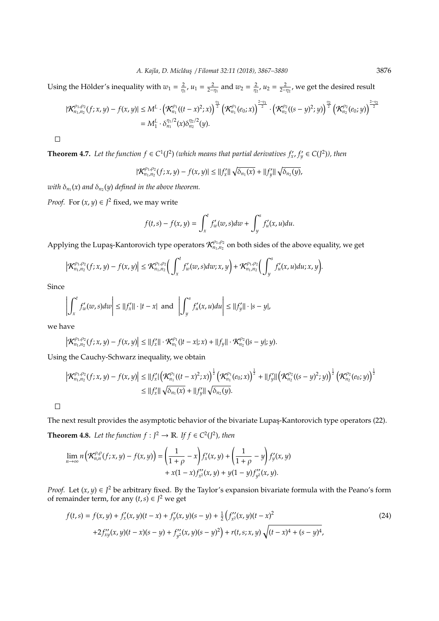Using the Hölder's inequality with  $w_1 = \frac{2}{\eta_1}$ ,  $u_1 = \frac{2}{2-\eta_1}$  and  $w_2 = \frac{2}{\eta_2}$ ,  $u_2 = \frac{2}{2-\eta_2}$ , we get the desired result

$$
\begin{aligned} |\mathcal{K}_{n_1,n_2}^{\rho_1,\rho_2}(f;x,y)-f(x,y)| &\leq M^{L}\cdot\left(\mathcal{K}_{n_1}^{\rho_1}((t-x)^2;x)\right)^{\frac{\eta_1}{2}}\left(\mathcal{K}_{n_1}^{\rho_1}(e_0;x)\right)^{\frac{2-\eta_1}{2}}\cdot\left(\mathcal{K}_{n_2}^{\rho_2}((s-y)^2;y)\right)^{\frac{\eta_2}{2}}\left(\mathcal{K}_{n_2}^{\rho_2}(e_0;y)\right)^{\frac{2-\eta_2}{2}}\\&=M_{1}^{L}\cdot\delta_{n_1}^{\eta_1/2}(x)\delta_{n_2}^{\eta_2/2}(y).\end{aligned}
$$

 $\Box$ 

**Theorem 4.7.** Let the function  $f \in C^1(J^2)$  (which means that partial derivatives  $f'_x, f'_y \in C(J^2)$ ), then

$$
|\mathcal{K}_{n_1,n_2}^{\rho_1,\rho_2}(f;x,y)-f(x,y)| \leq ||f'_x|| \sqrt{\delta_{n_1}(x)} + ||f'_y|| \sqrt{\delta_{n_2}(y)},
$$

with  $\delta_{n_1}(x)$  and  $\delta_{n_2}(y)$  defined in the above theorem.

*Proof.* For  $(x, y) \in J^2$  fixed, we may write

$$
f(t,s)-f(x,y)=\int_x^t f'_w(w,s)dw+\int_y^s f'_u(x,u)du.
$$

Applying the Lupaş-Kantorovich type operators  $\mathcal{K}^{\rho_1,\rho_2}_{n_1,n_2}$  on both sides of the above equality, we get

$$
\left|\mathcal{K}_{n_1,n_2}^{\rho_1,\rho_2}(f;x,y)-f(x,y)\right|\leq \mathcal{K}_{n_1,n_2}^{\rho_1,\rho_2}\bigg(\int_x^t f'_w(w,s)dw;x,y\bigg)+\mathcal{K}_{n_1,n_2}^{\rho_1,\rho_2}\bigg(\int_y^s f'_u(x,u)du;x,y\bigg).
$$

Since

$$
\left|\int_{x}^{t} f'_{w}(w,s)dw\right| \leq ||f'_{x}|| \cdot |t-x| \text{ and } \left|\int_{y}^{s} f'_{u}(x,u)du\right| \leq ||f'_{y}|| \cdot |s-y|,
$$

we have

 $\overline{\phantom{a}}$ 

 $\overline{a}$ 

$$
\left|\mathcal{K}_{n_1,n_2}^{\rho_1,\rho_2}(f;x,y)-f(x,y)\right|\leq ||f'_x||\cdot\mathcal{K}_{n_1}^{\rho_1}(|t-x|;x)+||f_y||\cdot\mathcal{K}_{n_2}^{\rho_2}(|s-y|;y).
$$

Using the Cauchy-Schwarz inequality, we obtain

$$
\left| \mathcal{K}^{\rho_1,\rho_2}_{n_1,n_2}(f;x,y) - f(x,y) \right| \leq ||f'_x| \left( \mathcal{K}^{\rho_1}_{n_1}((t-x)^2;x) \right)^{\frac{1}{2}} \left( \mathcal{K}^{\rho_1}_{n_1}(e_0;x) \right)^{\frac{1}{2}} + ||f'_y|| \left( \mathcal{K}^{\rho_2}_{n_2}((s-y)^2;y) \right)^{\frac{1}{2}} \left( \mathcal{K}^{\rho_2}_{n_2}(e_0;y) \right)^{\frac{1}{2}}
$$
  
 
$$
\leq ||f'_x|| \sqrt{\delta_{n_1}(x)} + ||f'_y|| \sqrt{\delta_{n_2}(y)}.
$$

 $\Box$ 

The next result provides the asymptotic behavior of the bivariate Lupaş-Kantorovich type operators (22).

**Theorem 4.8.** Let the function  $f: J^2 \to \mathbb{R}$ . If  $f \in C^2(J^2)$ , then

$$
\lim_{n \to \infty} n\Big(\mathcal{K}_{n,n}^{\rho,\rho}(f;x,y) - f(x,y)\Big) = \left(\frac{1}{1+\rho} - x\right) f'_x(x,y) + \left(\frac{1}{1+\rho} - y\right) f'_y(x,y) + x(1-x) f''_x(x,y) + y(1-y) f''_y(x,y).
$$

*Proof.* Let  $(x, y) \in J^2$  be arbitrary fixed. By the Taylor's expansion bivariate formula with the Peano's form of remainder term, for any  $(t, s) \in J^2$  we get

$$
f(t,s) = f(x,y) + f'_x(x,y)(t-x) + f'_y(x,y)(s-y) + \frac{1}{2} \left( f''_x(x,y)(t-x)^2 + 2f''_x(x,y)(t-x)(s-y) + f''_y(x,y)(s-y)^2 \right) + r(t,s;x,y)\sqrt{(t-x)^4 + (s-y)^4},
$$
\n(24)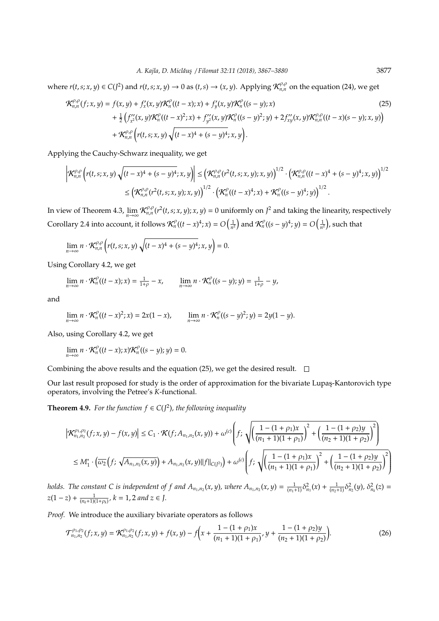where  $r(t,s;x,y) \in C(J^2)$  and  $r(t,s;x,y) \to 0$  as  $(t,s) \to (x,y)$ . Applying  $\mathcal{K}_{n,n}^{\rho,\rho}$  on the equation (24), we get

$$
\mathcal{K}_{n,n}^{\rho,\rho}(f;x,y) = f(x,y) + f'_x(x,y)\mathcal{K}_n^{\rho}((t-x);x) + f'_y(x,y)\mathcal{K}_n^{\rho}((s-y);x) \n+ \frac{1}{2}\left(f''_{x^2}(x,y)\mathcal{K}_n^{\rho}((t-x)^2;x) + f''_{y^2}(x,y)\mathcal{K}_n^{\rho}((s-y)^2;y) + 2f''_{xy}(x,y)\mathcal{K}_{n,n}^{\rho,\rho}((t-x)(s-y);x,y)\right) \n+ \mathcal{K}_{n,n}^{\rho,\rho}\left(r(t,s;x,y)\sqrt{(t-x)^4 + (s-y)^4};x,y\right).
$$
\n(25)

Applying the Cauchy-Schwarz inequality, we get

$$
\left| \mathcal{K}_{n,n}^{\rho,\rho} \left( r(t,s;x,y) \sqrt{(t-x)^4 + (s-y)^4}; x, y \right) \right| \leq \left( \mathcal{K}_{n,n}^{\rho,\rho}(r^2(t,s;x,y);x,y) \right)^{1/2} \cdot \left( \mathcal{K}_{n,n}^{\rho,\rho}((t-x)^4 + (s-y)^4;x,y) \right)^{1/2} \n\leq \left( \mathcal{K}_{n,n}^{\rho,\rho}(r^2(t,s;x,y);x,y) \right)^{1/2} \cdot \left( \mathcal{K}_{n}^{\rho}((t-x)^4;x) + \mathcal{K}_{n}^{\rho}((s-y)^4;y) \right)^{1/2}.
$$

In view of Theorem 4.3,  $\lim_{n\to\infty} \mathcal{K}_{n,n}^{\rho,\rho}(r^2(t,s;x,y);x,y) = 0$  uniformly on  $J^2$  and taking the linearity, respectively Corollary 2.4 into account, it follows  $\mathcal{K}_n^{\rho}((t-x)^4;x) = O\left(\frac{1}{n^2}\right)$  and  $\mathcal{K}_n^{\rho}((s-y)^4;y) = O\left(\frac{1}{n^2}\right)$ , such that

$$
\lim_{n\to\infty} n \cdot \mathcal{K}_{n,n}^{\rho,\rho} \left( r(t,s;x,y) \sqrt{(t-x)^4 + (s-y)^4};x,y \right) = 0.
$$

Using Corollary 4.2, we get

$$
\lim_{n\to\infty} n\cdot \mathcal{K}_n^{\rho}((t-x);x)=\tfrac{1}{1+\rho}-x,\qquad \lim_{n\to\infty} n\cdot \mathcal{K}_n^{\rho}((s-y);y)=\tfrac{1}{1+\rho}-y,
$$

and

$$
\lim_{n\to\infty} n\cdot \mathcal{K}_n^{\rho}((t-x)^2;x)=2x(1-x), \qquad \lim_{n\to\infty} n\cdot \mathcal{K}_n^{\rho}((s-y)^2;y)=2y(1-y).
$$

Also, using Corollary 4.2, we get

$$
\lim_{n\to\infty} n \cdot \mathcal{K}_n^{\rho}((t-x);x) \mathcal{K}_n^{\rho}((s-y);y) = 0.
$$

Combining the above results and the equation (25), we get the desired result.  $\square$ 

Our last result proposed for study is the order of approximation for the bivariate Lupas-Kantorovich type operators, involving the Petree's *K*-functional.

**Theorem 4.9.** For the function  $f \in C(J^2)$ , the following inequality

$$
\left| \mathcal{K}^{\rho_{1},\rho_{2}}_{n_{1},n_{2}}(f;x,y) - f(x,y) \right| \leq C_{1} \cdot \mathcal{K}(f;A_{n_{1},n_{2}}(x,y)) + \omega^{(c)} \left( f; \sqrt{\left( \frac{1 - (1 + \rho_{1})x}{(n_{1} + 1)(1 + \rho_{1})} \right)^{2} + \left( \frac{1 - (1 + \rho_{2})y}{(n_{2} + 1)(1 + \rho_{2})} \right)^{2}} \right)
$$
  

$$
\leq M_{1}^{*} \cdot \left( \overline{\omega_{2}} \left( f; \sqrt{A_{n_{1},n_{2}}(x,y)} \right) + A_{n_{1},n_{2}}(x,y) ||f||_{C(f^{2})} \right) + \omega^{(c)} \left( f; \sqrt{\left( \frac{1 - (1 + \rho_{1})x}{(n_{1} + 1)(1 + \rho_{1})} \right)^{2} + \left( \frac{1 - (1 + \rho_{2})y}{(n_{2} + 1)(1 + \rho_{2})} \right)^{2}} \right)
$$

holds. The constant C is independent of f and  $A_{n_1,n_2}(x,y)$ , where  $A_{n_1,n_2}(x,y) = \frac{1}{(n_1+1)} \delta_{n_1}^2(x) + \frac{1}{(n_2+1)} \delta_{n_2}^2(y)$ ,  $\delta_{n_k}^2(z) =$ *z*(1 − *z*) +  $\frac{1}{(n_k+1)(1+\rho_k)}$ ,  $k = 1, 2$  and  $z \in J$ .

*Proof.* We introduce the auxiliary bivariate operators as follows

$$
\mathcal{T}_{n_1,n_2}^{\rho_1,\rho_2}(f;x,y) = \mathcal{K}_{n_1,n_2}^{\rho_1,\rho_2}(f;x,y) + f(x,y) - f\left(x + \frac{1 - (1 + \rho_1)x}{(n_1 + 1)(1 + \rho_1)}, y + \frac{1 - (1 + \rho_2)y}{(n_2 + 1)(1 + \rho_2)}\right).
$$
(26)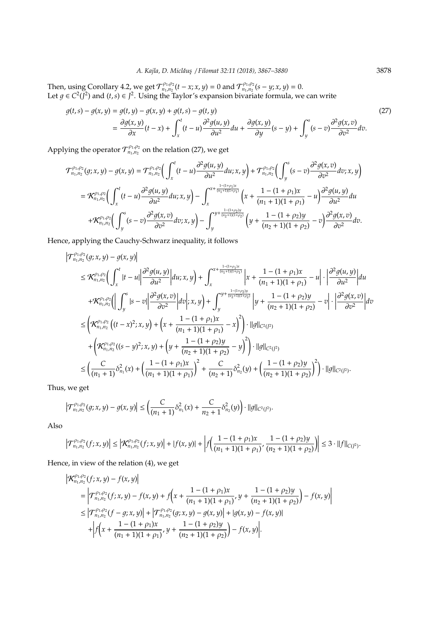Then, using Corollary 4.2, we get  $\mathcal{T}_{n_1,n_2}^{\rho_1,\rho_2}(t-x;x,y) = 0$  and  $\mathcal{T}_{n_1,n_2}^{\rho_1,\rho_2}(s-y;x,y) = 0$ . Let *g* ∈  $C^2$ ( $\bar{J}^2$ ) and (*t*,*s*) ∈  $J^2$ . Using the Taylor's expansion bivariate formula, we can write

$$
g(t,s) - g(x,y) = g(t,y) - g(x,y) + g(t,s) - g(t,y)
$$
\n
$$
= \frac{\partial g(x,y)}{\partial x}(t-x) + \int_x^t (t-u) \frac{\partial^2 g(u,y)}{\partial u^2} du + \frac{\partial g(x,y)}{\partial y}(s-y) + \int_y^s (s-v) \frac{\partial^2 g(x,v)}{\partial v^2} dv.
$$
\n(27)

Applying the operator  $\mathcal{T}_{n_1,n_2}^{p_1,p_2}$  on the relation (27), we get

$$
\mathcal{T}_{n_1,n_2}^{\rho_1,\rho_2}(g;x,y) - g(x,y) = \mathcal{T}_{n_1,n_2}^{\rho_1,\rho_2}\bigg(\int_x^t (t-u) \frac{\partial^2 g(u,y)}{\partial u^2} du;x,y\bigg) + \mathcal{T}_{n_1,n_2}^{\rho_1,\rho_2}\bigg(\int_y^s (s-v) \frac{\partial^2 g(x,v)}{\partial v^2} dv;x,y\bigg)
$$
  

$$
= \mathcal{K}_{n_1,n_2}^{\rho_1,\rho_2}\bigg(\int_x^t (t-u) \frac{\partial^2 g(u,y)}{\partial u^2} du;x,y\bigg) - \int_x^{x+\frac{1-(1+\rho_1)x}{(n_1+1)(1+\rho_1)}} \bigg(x+\frac{1-(1+\rho_1)x}{(n_1+1)(1+\rho_1)}-u\bigg)\frac{\partial^2 g(u,y)}{\partial u^2} du
$$
  

$$
+ \mathcal{K}_{n_1,n_2}^{\rho_1,\rho_2}\bigg(\int_y^s (s-v) \frac{\partial^2 g(x,v)}{\partial v^2} dv;x,y\bigg) - \int_y^{y+\frac{1-(1+\rho_2)y}{(n_2+1)(1+\rho_2)}} \bigg(y+\frac{1-(1+\rho_2)y}{(n_2+1)(1+\rho_2)}-v\bigg)\frac{\partial^2 g(x,v)}{\partial v^2} dv.
$$

Hence, applying the Cauchy-Schwarz inequality, it follows

$$
\left|\mathcal{T}_{n_{1},n_{2}}^{\rho_{1},\rho_{2}}(g;x,y)-g(x,y)\right|
$$
\n
$$
\leq \mathcal{K}_{n_{1},n_{2}}^{\rho_{1},\rho_{2}}\left(\int_{x}^{t}|t-u|\left|\frac{\partial^{2}g(u,y)}{\partial u^{2}}\right|du;x,y\right)+\int_{x}^{x+\frac{1-(1+\rho_{1})x}{(\eta_{1}+1)(1+\rho_{1})}}\left|x+\frac{1-(1+\rho_{1})x}{(\eta_{1}+1)(1+\rho_{1})}-u\right|\cdot\left|\frac{\partial^{2}g(u,y)}{\partial u^{2}}\right|du
$$
\n
$$
+\mathcal{K}_{n_{1},n_{2}}^{\rho_{1},\rho_{2}}\left(\left|\int_{y}^{s}|s-v|\left|\frac{\partial^{2}g(x,v)}{\partial v^{2}}\right|dv\right|;x,y\right)+\int_{y}^{y+\frac{1-(1+\rho_{2})y}{(\eta_{2}+1)(1+\rho_{2})}}\left|y+\frac{1-(1+\rho_{2})y}{(\eta_{2}+1)(1+\rho_{2})}-v\right|\cdot\left|\frac{\partial^{2}g(x,v)}{\partial v^{2}}\right|dv
$$
\n
$$
\leq \left(\mathcal{K}_{n_{1},n_{2}}^{\rho_{1},\rho_{2}}\left((t-x)^{2};x,y\right)+\left(x+\frac{1-(1+\rho_{1})x}{(\eta_{1}+1)(1+\rho_{1})}-x\right)^{2}\right)\cdot\|g\|_{C^{2}(J^{2})}
$$
\n
$$
+\left(\mathcal{K}_{n_{1},n_{2}}^{\rho_{1},\rho_{2}}\left((s-y)^{2};x,y\right)+\left(y+\frac{1-(1+\rho_{2})y}{(\eta_{2}+1)(1+\rho_{2})}-y\right)^{2}\right)\cdot\|g\|_{C^{2}(J^{2})}
$$
\n
$$
\leq \left(\frac{C}{(\eta_{1}+1)}\delta_{n_{1}}^{2}(x)+\left(\frac{1-(1+\rho_{1})x}{(\eta_{1}+1)(1+\rho_{1})}\right)^{2}+\frac{C}{(\eta_{2}+1)}\delta_{n_{2}}^{2}(y)+\left(\frac{1-(1+\rho_{2})y}{(\eta_{2}+1)(1+\rho_{2})}\right)^{2}\right)\cdot\|g\|_{C^{2}(J^{2})}.
$$

Thus, we get

$$
\left|\mathcal{T}_{n_1,n_2}^{\rho_1,\rho_2}(g;x,y)-g(x,y)\right|\leq \left(\frac{C}{(n_1+1)}\delta_{n_1}^2(x)+\frac{C}{n_2+1}\delta_{n_2}^2(y)\right)\cdot||g||_{C^2(I^2)}.
$$

Also

$$
\left|\mathcal{T}_{n_1,n_2}^{\rho_1,\rho_2}(f;x,y)\right|\leq \left|\mathcal{K}_{n_1,n_2}^{\rho_1,\rho_2}(f;x,y)\right|+|f(x,y)|+\left|f\left(\frac{1-(1+\rho_1)x}{(n_1+1)(1+\rho_1)},\frac{1-(1+\rho_2)y}{(n_2+1)(1+\rho_2)}\right)\right|\leq 3\cdot||f||_{C(f^2)}.
$$

Hence, in view of the relation (4), we get

$$
\begin{split} \left| \mathcal{K}_{n_1,n_2}^{\rho_1,\rho_2}(f;x,y) - f(x,y) \right| \\ &= \left| \mathcal{T}_{n_1,n_2}^{\rho_1,\rho_2}(f;x,y) - f(x,y) + f\left(x + \frac{1 - (1 + \rho_1)x}{(n_1 + 1)(1 + \rho_1)}, y + \frac{1 - (1 + \rho_2)y}{(n_2 + 1)(1 + \rho_2)}\right) - f(x,y) \right| \\ &\leq \left| \mathcal{T}_{n_1,n_2}^{\rho_1,\rho_2}(f - g;x,y) \right| + \left| \mathcal{T}_{n_1,n_2}^{\rho_1,\rho_2}(g;x,y) - g(x,y) \right| + \left| g(x,y) - f(x,y) \right| \\ &\quad + \left| f\left(x + \frac{1 - (1 + \rho_1)x}{(n_1 + 1)(1 + \rho_1)}, y + \frac{1 - (1 + \rho_2)y}{(n_2 + 1)(1 + \rho_2)}\right) - f(x,y) \right|. \end{split}
$$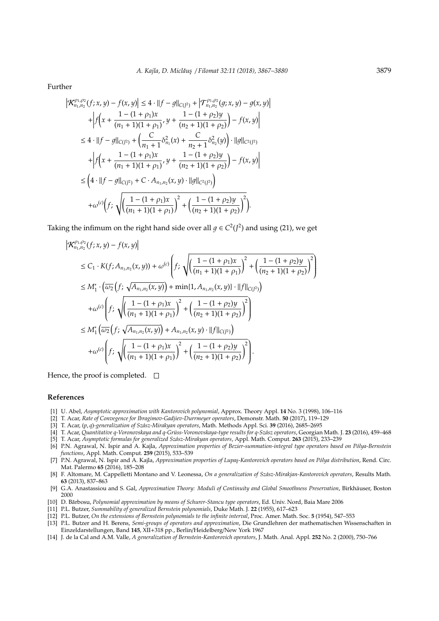Further

$$
\left| \mathcal{K}_{n_1,n_2}^{\rho_1,\rho_2}(f;x,y) - f(x,y) \right| \le 4 \cdot \|f - g\|_{C(f^2)} + \left| \mathcal{T}_{n_1,n_2}^{\rho_1,\rho_2}(g;x,y) - g(x,y) \right| + \left| f\left(x + \frac{1 - (1 + \rho_1)x}{(n_1 + 1)(1 + \rho_1)}, y + \frac{1 - (1 + \rho_2)y}{(n_2 + 1)(1 + \rho_2)} \right) - f(x,y) \right| \le 4 \cdot \|f - g\|_{C(f^2)} + \left( \frac{C}{n_1 + 1} \delta_{n_1}^2(x) + \frac{C}{n_2 + 1} \delta_{n_2}^2(y) \right) \cdot \|g\|_{C^2(f^2)} + \left| f\left(x + \frac{1 - (1 + \rho_1)x}{(n_1 + 1)(1 + \rho_1)}, y + \frac{1 - (1 + \rho_2)y}{(n_2 + 1)(1 + \rho_2)} \right) - f(x,y) \right| \le \left( 4 \cdot \|f - g\|_{C(f^2)} + C \cdot A_{n_1,n_2}(x,y) \cdot \|g\|_{C^2(f^2)} \right) + \omega^{(c)} \left( f; \sqrt{\left( \frac{1 - (1 + \rho_1)x}{(n_1 + 1)(1 + \rho_1)} \right)^2 + \left( \frac{1 - (1 + \rho_2)y}{(n_2 + 1)(1 + \rho_2)} \right)^2} \right).
$$

Taking the infimum on the right hand side over all  $g \in C^2(J^2)$  and using (21), we get

$$
\begin{split}\n&\left|\mathcal{K}_{n_{1},n_{2}}^{p_{1},p_{2}}(f;x,y)-f(x,y)\right| \\
&\leq C_{1}\cdot K(f;A_{n_{1},n_{2}}(x,y))+\omega^{(c)}\left(f;\sqrt{\left(\frac{1-(1+\rho_{1})x}{(n_{1}+1)(1+\rho_{1})}\right)^{2}+\left(\frac{1-(1+\rho_{2})y}{(n_{2}+1)(1+\rho_{2})}\right)^{2}}\right) \\
&\leq M_{1}^{*}\cdot\left(\overline{\omega_{2}}\left(f;\sqrt{A_{n_{1},n_{2}}(x,y)}\right)+\min\{1,A_{n_{1},n_{2}}(x,y)\}\cdot||f||_{C(f^{2})}\right) \\
&+\omega^{(c)}\left(f;\sqrt{\left(\frac{1-(1+\rho_{1})x}{(n_{1}+1)(1+\rho_{1})}\right)^{2}+\left(\frac{1-(1+\rho_{2})y}{(n_{2}+1)(1+\rho_{2})}\right)^{2}}\right) \\
&\leq M_{1}^{*}\left(\overline{\omega_{2}}\left(f;\sqrt{A_{n_{1},n_{2}}(x,y)}\right)+A_{n_{1},n_{2}}(x,y)\cdot||f||_{C(f^{2})}\right) \\
&+\omega^{(c)}\left(f;\sqrt{\left(\frac{1-(1+\rho_{1})x}{(n_{1}+1)(1+\rho_{1})}\right)^{2}+\left(\frac{1-(1+\rho_{2})y}{(n_{2}+1)(1+\rho_{2})}\right)^{2}}\right).\n\end{split}
$$

Hence, the proof is completed.  $\square$ 

#### **References**

- [1] U. Abel, *Asymptotic approximation with Kantorovich polynomial*, Approx. Theory Appl. **14** No. 3 (1998), 106–116
- [2] T. Acar, *Rate of Convegence for Ibragimov-Gadjiev-Durrmeyer operators*, Demonstr. Math. **50** (2017), 119–129
- [3] T. Acar, (*p*, *q*)*-generalization of Sz´asz-Mirakyan operators*, Math. Methods Appl. Sci. **39** (2016), 2685–2695
- [4] T. Acar, *Quantitative q-Voronovskaya and q-Grüss-Voronovskaya-type results for q-Szász operators*, Georgian Math. J. 23 (2016), 459–468
- [5] T. Acar, *Asymptotic formulas for generalized Sz´asz-Mirakyan operators*, Appl. Math. Comput. **263** (2015), 233–239
- [6] P.N. Agrawal, N. Ispir and A. Kajla, Approximation properties of Bezier-summation-integral type operators based on Pólya-Bernstein *functions*, Appl. Math. Comput. **259** (2015), 533–539
- [7] P.N. Agrawal, N. Ispir and A. Kajla, *Approximation properties of Lupaş-Kantorovich operators based on Pólya distribution*, Rend. Circ. Mat. Palermo **65** (2016), 185–208
- [8] F. Altomare, M. Cappelletti Montano and V. Leonessa, *On a generalization of Sz´asz-Mirakjan-Kantorovich operators*, Results Math. **63** (2013), 837–863
- [9] G.A. Anastassiou and S. Gal, *Approximation Theory: Moduli of Continuity and Global Smoothness Preservation*, Birkhäuser, Boston 2000
- [10] D. Bărbosu, Polynomial approximation by means of Schurer-Stancu type operators, Ed. Univ. Nord, Baia Mare 2006
- [11] P.L. Butzer, *Summability of generalized Bernstein polynomials*, Duke Math. J. **22** (1955), 617–623
- [12] P.L. Butzer, *On the extensions of Bernstein polynomials to the infinite interval*, Proc. Amer. Math. Soc. **5** (1954), 547–553
- [13] P.L. Butzer and H. Berens, *Semi-groups of operators and approximation*, Die Grundlehren der mathematischen Wissenschaften in Einzeldarstellungen, Band **145**, XII+318 pp., Berlin/Heidelberg/New York 1967
- [14] J. de la Cal and A.M. Valle, *A generalization of Bernstein-Kantorovich operators*, J. Math. Anal. Appl. **252** No. 2 (2000), 750–766